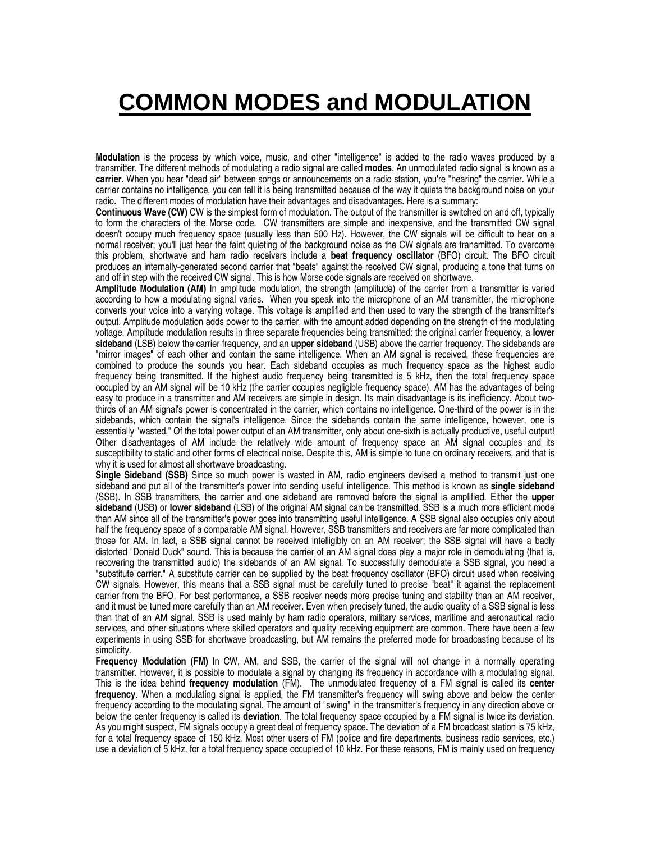## **COMMON MODES and MODULATION**

**Modulation** is the process by which voice, music, and other "intelligence" is added to the radio waves produced by a transmitter. The different methods of modulating a radio signal are called **modes**. An unmodulated radio signal is known as a **carrier**. When you hear "dead air" between songs or announcements on a radio station, you're "hearing" the carrier. While a carrier contains no intelligence, you can tell it is being transmitted because of the way it quiets the background noise on your radio. The different modes of modulation have their advantages and disadvantages. Here is a summary:

**Continuous Wave (CW)** CW is the simplest form of modulation. The output of the transmitter is switched on and off, typically to form the characters of the Morse code. CW transmitters are simple and inexpensive, and the transmitted CW signal doesn't occupy much frequency space (usually less than 500 Hz). However, the CW signals will be difficult to hear on a normal receiver; you'll just hear the faint quieting of the background noise as the CW signals are transmitted. To overcome this problem, shortwave and ham radio receivers include a **beat frequency oscillator** (BFO) circuit. The BFO circuit produces an internally-generated second carrier that "beats" against the received CW signal, producing a tone that turns on and off in step with the received CW signal. This is how Morse code signals are received on shortwave.

**Amplitude Modulation (AM)** In amplitude modulation, the strength (amplitude) of the carrier from a transmitter is varied according to how a modulating signal varies. When you speak into the microphone of an AM transmitter, the microphone converts your voice into a varying voltage. This voltage is amplified and then used to vary the strength of the transmitter's output. Amplitude modulation adds power to the carrier, with the amount added depending on the strength of the modulating voltage. Amplitude modulation results in three separate frequencies being transmitted: the original carrier frequency, a **lower sideband** (LSB) below the carrier frequency, and an **upper sideband** (USB) above the carrier frequency. The sidebands are "mirror images" of each other and contain the same intelligence. When an AM signal is received, these frequencies are combined to produce the sounds you hear. Each sideband occupies as much frequency space as the highest audio frequency being transmitted. If the highest audio frequency being transmitted is 5 kHz, then the total frequency space occupied by an AM signal will be 10 kHz (the carrier occupies negligible frequency space). AM has the advantages of being easy to produce in a transmitter and AM receivers are simple in design. Its main disadvantage is its inefficiency. About twothirds of an AM signal's power is concentrated in the carrier, which contains no intelligence. One-third of the power is in the sidebands, which contain the signal's intelligence. Since the sidebands contain the same intelligence, however, one is essentially "wasted." Of the total power output of an AM transmitter, only about one-sixth is actually productive, useful output! Other disadvantages of AM include the relatively wide amount of frequency space an AM signal occupies and its susceptibility to static and other forms of electrical noise. Despite this, AM is simple to tune on ordinary receivers, and that is why it is used for almost all shortwave broadcasting.

**Single Sideband (SSB)** Since so much power is wasted in AM, radio engineers devised a method to transmit just one sideband and put all of the transmitter's power into sending useful intelligence. This method is known as **single sideband** (SSB). In SSB transmitters, the carrier and one sideband are removed before the signal is amplified. Either the **upper sideband** (USB) or **lower sideband** (LSB) of the original AM signal can be transmitted. SSB is a much more efficient mode than AM since all of the transmitter's power goes into transmitting useful intelligence. A SSB signal also occupies only about half the frequency space of a comparable AM signal. However, SSB transmitters and receivers are far more complicated than those for AM. In fact, a SSB signal cannot be received intelligibly on an AM receiver; the SSB signal will have a badly distorted "Donald Duck" sound. This is because the carrier of an AM signal does play a major role in demodulating (that is, recovering the transmitted audio) the sidebands of an AM signal. To successfully demodulate a SSB signal, you need a "substitute carrier." A substitute carrier can be supplied by the beat frequency oscillator (BFO) circuit used when receiving CW signals. However, this means that a SSB signal must be carefully tuned to precise "beat" it against the replacement carrier from the BFO. For best performance, a SSB receiver needs more precise tuning and stability than an AM receiver, and it must be tuned more carefully than an AM receiver. Even when precisely tuned, the audio quality of a SSB signal is less than that of an AM signal. SSB is used mainly by ham radio operators, military services, maritime and aeronautical radio services, and other situations where skilled operators and quality receiving equipment are common. There have been a few experiments in using SSB for shortwave broadcasting, but AM remains the preferred mode for broadcasting because of its simplicity.

**Frequency Modulation (FM)** In CW, AM, and SSB, the carrier of the signal will not change in a normally operating transmitter. However, it is possible to modulate a signal by changing its frequency in accordance with a modulating signal. This is the idea behind **frequency modulation** (FM). The unmodulated frequency of a FM signal is called its **center frequency**. When a modulating signal is applied, the FM transmitter's frequency will swing above and below the center frequency according to the modulating signal. The amount of "swing" in the transmitter's frequency in any direction above or below the center frequency is called its **deviation**. The total frequency space occupied by a FM signal is twice its deviation. As you might suspect, FM signals occupy a great deal of frequency space. The deviation of a FM broadcast station is 75 kHz, for a total frequency space of 150 kHz. Most other users of FM (police and fire departments, business radio services, etc.) use a deviation of 5 kHz, for a total frequency space occupied of 10 kHz. For these reasons, FM is mainly used on frequency